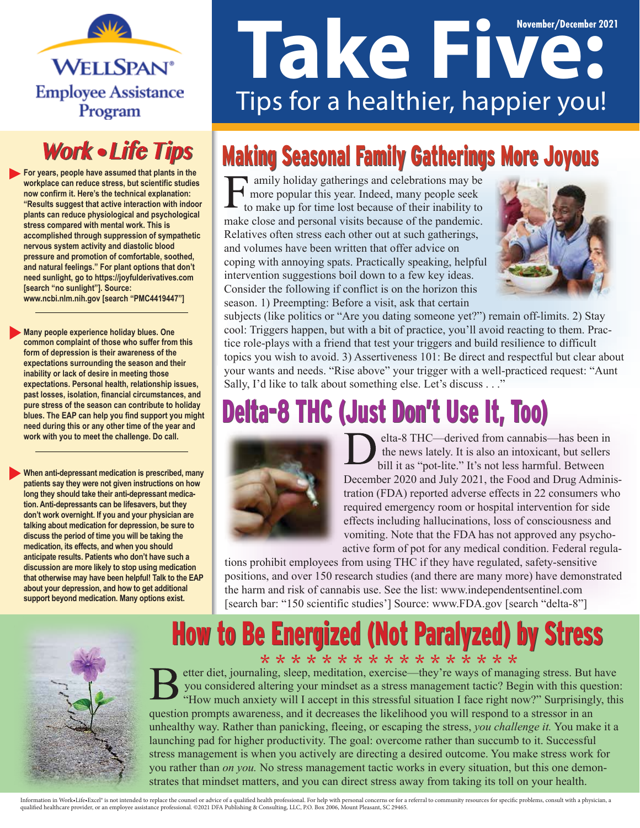

#### **Work • Life Tips**

**For years, people have assumed that plants in the workplace can reduce stress, but scientific studies now confirm it. Here's the technical explanation: "Results suggest that active interaction with indoor plants can reduce physiological and psychological stress compared with mental work. This is accomplished through suppression of sympathetic nervous system activity and diastolic blood pressure and promotion of comfortable, soothed, and natural feelings." For plant options that don't need sunlight, go to https://joyfulderivatives.com [search "no sunlight"]. Source: www.ncbi.nlm.nih.gov [search "PMC4419447"]**

**Many people experience holiday blues. One common complaint of those who suffer from this form of depression is their awareness of the expectations surrounding the season and their inability or lack of desire in meeting those expectations. Personal health, relationship issues, past losses, isolation, financial circumstances, and pure stress of the season can contribute to holiday blues. The EAP can help you find support you might need during this or any other time of the year and work with you to meet the challenge. Do call.**

**When anti-depressant medication is prescribed, many patients say they were not given instructions on how long they should take their anti-depressant medication. Anti-depressants can be lifesavers, but they don't work overnight. If you and your physician are talking about medication for depression, be sure to discuss the period of time you will be taking the medication, its effects, and when you should anticipate results. Patients who don't have such a discussion are more likely to stop using medication that otherwise may have been helpful! Talk to the EAP about your depression, and how to get additional support beyond medication. Many options exist.**

# **November/December 2021** Tips for a healthier, happier you!

## **Making Seasonal Family Gatherings More Joyous**

amily holiday gatherings and celebrations may be more popular this year. Indeed, many people seek to make up for time lost because of their inability to make close and personal visits because of the pandemic. Relatives often stress each other out at such gatherings, and volumes have been written that offer advice on coping with annoying spats. Practically speaking, helpful intervention suggestions boil down to a few key ideas. Consider the following if conflict is on the horizon this season. 1) Preempting: Before a visit, ask that certain



subjects (like politics or "Are you dating someone yet?") remain off-limits. 2) Stay cool: Triggers happen, but with a bit of practice, you'll avoid reacting to them. Practice role-plays with a friend that test your triggers and build resilience to difficult topics you wish to avoid. 3) Assertiveness 101: Be direct and respectful but clear about your wants and needs. "Rise above" your trigger with a well-practiced request: "Aunt Sally, I'd like to talk about something else. Let's discuss . . ."

## Delta-8 THC (Just Don't Use It, Too)



elta-8 THC—derived from cannabis—has been in the news lately. It is also an intoxicant, but sellers bill it as "pot-lite." It's not less harmful. Between December 2020 and July 2021, the Food and Drug Administration (FDA) reported adverse effects in 22 consumers who required emergency room or hospital intervention for side effects including hallucinations, loss of consciousness and vomiting. Note that the FDA has not approved any psychoactive form of pot for any medical condition. Federal regula-

tions prohibit employees from using THC if they have regulated, safety-sensitive positions, and over 150 research studies (and there are many more) have demonstrated the harm and risk of cannabis use. See the list: www.independentsentinel.com [search bar: "150 scientific studies'] Source: www.FDA.gov [search "delta-8"]

## How to Be Energized (Not Paralyzed) by Stress



\* \* \* \* \* \* \* \* \* \* \* \* \* \* \* \* \* etter diet, journaling, sleep, meditation, exercise—they're ways of managing stress. But have you considered altering your mindset as a stress management tactic? Begin with this question: "How much anxiety will I accept in this stressful situation I face right now?" Surprisingly, this question prompts awareness, and it decreases the likelihood you will respond to a stressor in an unhealthy way. Rather than panicking, fleeing, or escaping the stress, *you challenge it.* You make it a launching pad for higher productivity. The goal: overcome rather than succumb to it. Successful stress management is when you actively are directing a desired outcome. You make stress work for you rather than *on you.* No stress management tactic works in every situation, but this one demonstrates that mindset matters, and you can direct stress away from taking its toll on your health.